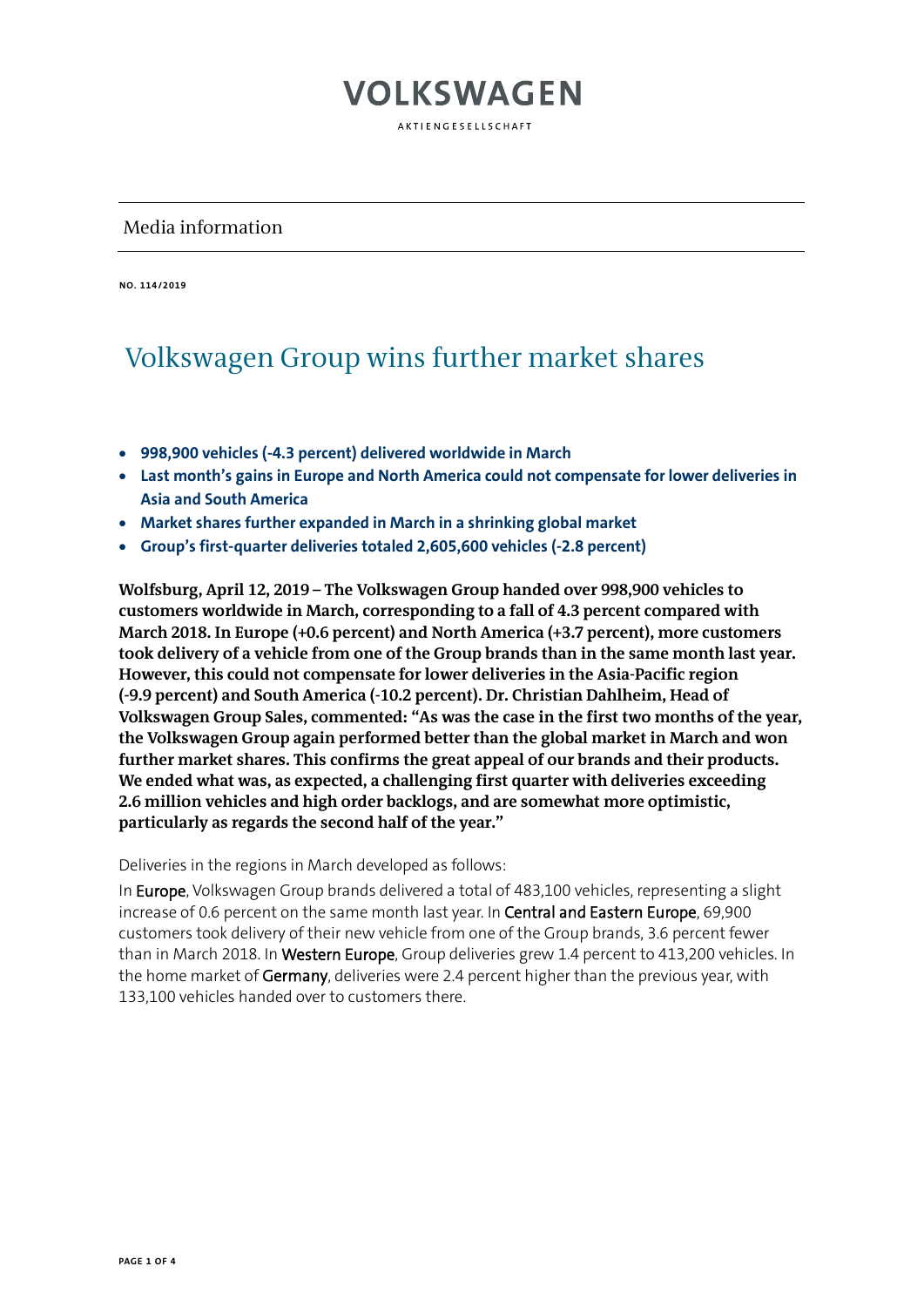AKTIFNGFSFLISCHAFT

#### Media information

**NO. 114/2019** 

#### Volkswagen Group wins further market shares

- **998,900 vehicles (-4.3 percent) delivered worldwide in March**
- **Last month's gains in Europe and North America could not compensate for lower deliveries in Asia and South America**
- **Market shares further expanded in March in a shrinking global market**
- **Group's first-quarter deliveries totaled 2,605,600 vehicles (-2.8 percent)**

**Wolfsburg, April 12, 2019 – The Volkswagen Group handed over 998,900 vehicles to customers worldwide in March, corresponding to a fall of 4.3 percent compared with March 2018. In Europe (+0.6 percent) and North America (+3.7 percent), more customers took delivery of a vehicle from one of the Group brands than in the same month last year. However, this could not compensate for lower deliveries in the Asia-Pacific region (-9.9 percent) and South America (-10.2 percent). Dr. Christian Dahlheim, Head of Volkswagen Group Sales, commented: "As was the case in the first two months of the year, the Volkswagen Group again performed better than the global market in March and won further market shares. This confirms the great appeal of our brands and their products. We ended what was, as expected, a challenging first quarter with deliveries exceeding 2.6 million vehicles and high order backlogs, and are somewhat more optimistic, particularly as regards the second half of the year."** 

Deliveries in the regions in March developed as follows:

In Europe, Volkswagen Group brands delivered a total of 483,100 vehicles, representing a slight increase of 0.6 percent on the same month last year. In Central and Eastern Europe, 69,900 customers took delivery of their new vehicle from one of the Group brands, 3.6 percent fewer than in March 2018. In Western Europe, Group deliveries grew 1.4 percent to 413,200 vehicles. In the home market of Germany, deliveries were 2.4 percent higher than the previous year, with 133,100 vehicles handed over to customers there.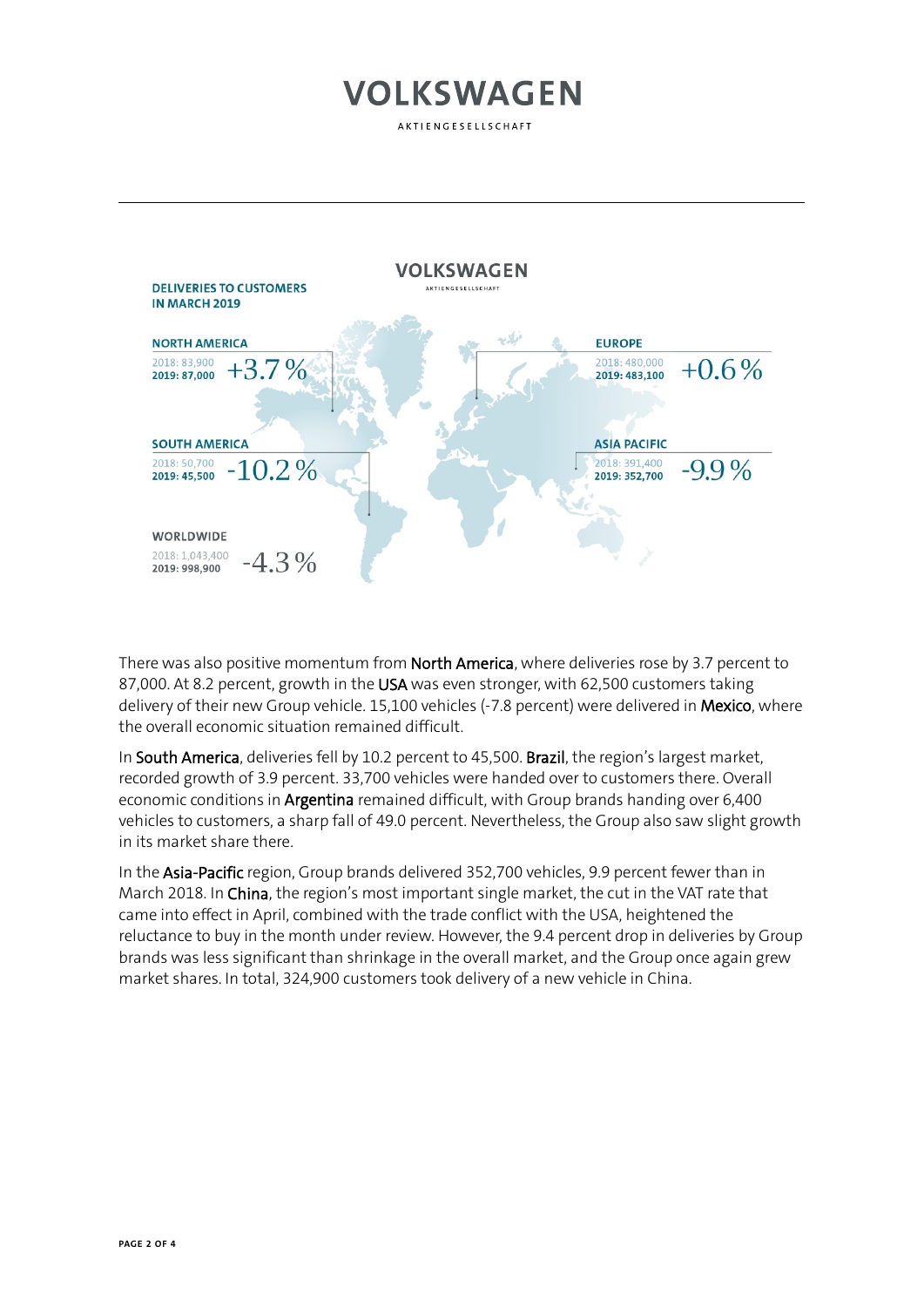AKTIENGESELLSCHAFT



There was also positive momentum from North America, where deliveries rose by 3.7 percent to 87,000. At 8.2 percent, growth in the USA was even stronger, with 62,500 customers taking delivery of their new Group vehicle. 15,100 vehicles (-7.8 percent) were delivered in Mexico, where the overall economic situation remained difficult.

In South America, deliveries fell by 10.2 percent to 45,500. Brazil, the region's largest market, recorded growth of 3.9 percent. 33,700 vehicles were handed over to customers there. Overall economic conditions in Argentina remained difficult, with Group brands handing over 6,400 vehicles to customers, a sharp fall of 49.0 percent. Nevertheless, the Group also saw slight growth in its market share there.

In the Asia-Pacific region, Group brands delivered 352,700 vehicles, 9.9 percent fewer than in March 2018. In China, the region's most important single market, the cut in the VAT rate that came into effect in April, combined with the trade conflict with the USA, heightened the reluctance to buy in the month under review. However, the 9.4 percent drop in deliveries by Group brands was less significant than shrinkage in the overall market, and the Group once again grew market shares. In total, 324,900 customers took delivery of a new vehicle in China.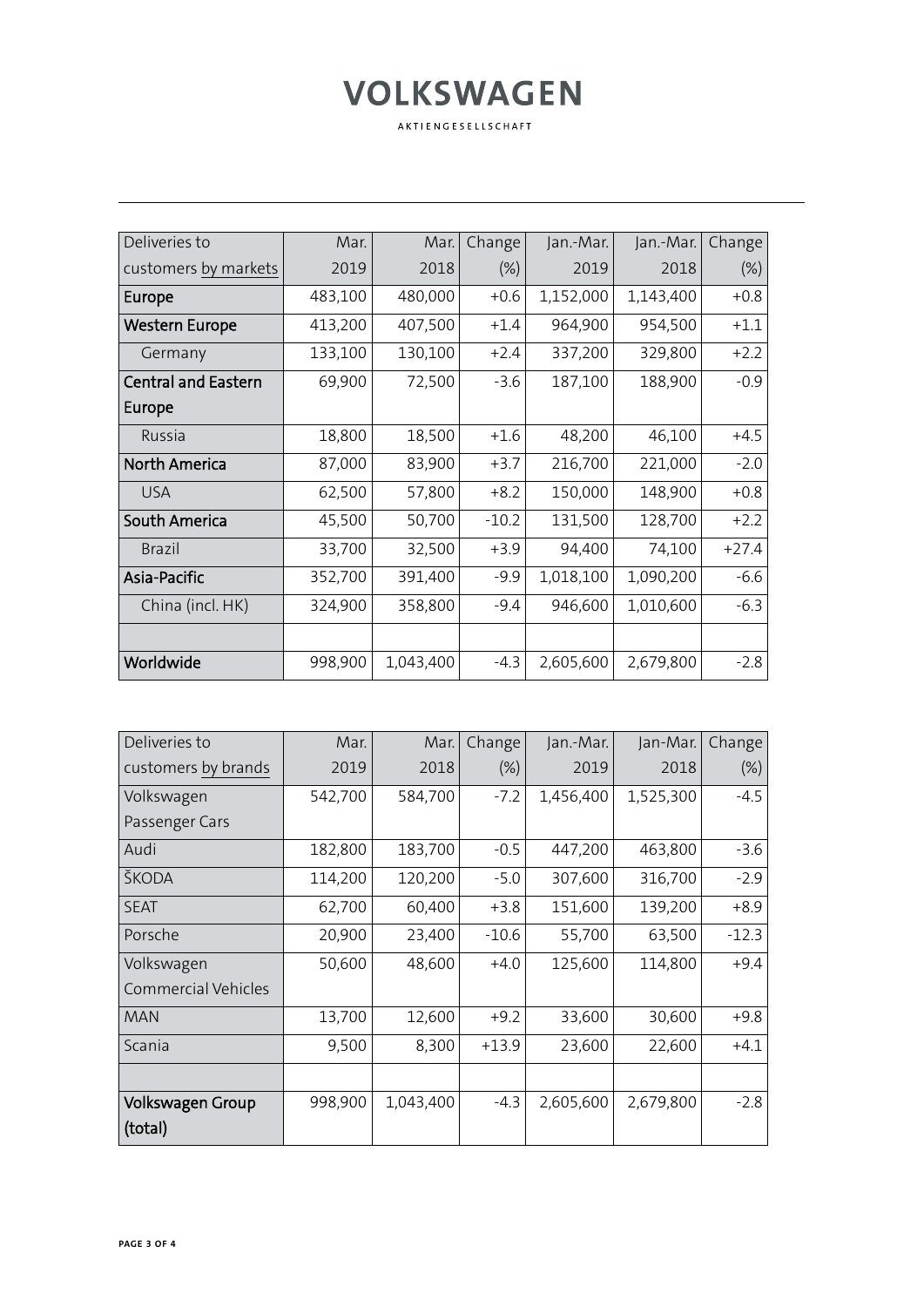AKTIENGESELLSCHAFT

| Deliveries to              | Mar.    | Mar.      | Change  | Jan.-Mar. | Jan.-Mar. | Change  |
|----------------------------|---------|-----------|---------|-----------|-----------|---------|
| customers by markets       | 2019    | 2018      | $(\%)$  | 2019      | 2018      | $(\%)$  |
| Europe                     | 483,100 | 480,000   | $+0.6$  | 1,152,000 | 1,143,400 | $+0.8$  |
| Western Europe             | 413,200 | 407,500   | $+1.4$  | 964,900   | 954,500   | $+1.1$  |
| Germany                    | 133,100 | 130,100   | $+2.4$  | 337,200   | 329,800   | $+2.2$  |
| <b>Central and Eastern</b> | 69,900  | 72,500    | $-3.6$  | 187,100   | 188,900   | $-0.9$  |
| Europe                     |         |           |         |           |           |         |
| Russia                     | 18,800  | 18,500    | $+1.6$  | 48,200    | 46,100    | $+4.5$  |
| <b>North America</b>       | 87,000  | 83,900    | $+3.7$  | 216,700   | 221,000   | $-2.0$  |
| <b>USA</b>                 | 62,500  | 57,800    | $+8.2$  | 150,000   | 148,900   | $+0.8$  |
| <b>South America</b>       | 45,500  | 50,700    | $-10.2$ | 131,500   | 128,700   | $+2.2$  |
| <b>Brazil</b>              | 33,700  | 32,500    | $+3.9$  | 94,400    | 74,100    | $+27.4$ |
| Asia-Pacific               | 352,700 | 391,400   | $-9.9$  | 1,018,100 | 1,090,200 | $-6.6$  |
| China (incl. HK)           | 324,900 | 358,800   | $-9.4$  | 946,600   | 1,010,600 | $-6.3$  |
|                            |         |           |         |           |           |         |
| Worldwide                  | 998,900 | 1,043,400 | $-4.3$  | 2,605,600 | 2,679,800 | $-2.8$  |

| Deliveries to              | Mar.    | Mar.      | Change  | Jan.-Mar. | Jan-Mar.  | Change  |
|----------------------------|---------|-----------|---------|-----------|-----------|---------|
| customers by brands        | 2019    | 2018      | $(\%)$  | 2019      | 2018      | (%)     |
| Volkswagen                 | 542,700 | 584,700   | $-7.2$  | 1,456,400 | 1,525,300 | $-4.5$  |
| Passenger Cars             |         |           |         |           |           |         |
| Audi                       | 182,800 | 183,700   | $-0.5$  | 447,200   | 463,800   | $-3.6$  |
| ŠKODA                      | 114,200 | 120,200   | $-5.0$  | 307,600   | 316,700   | $-2.9$  |
| <b>SEAT</b>                | 62,700  | 60,400    | $+3.8$  | 151,600   | 139,200   | $+8.9$  |
| Porsche                    | 20,900  | 23,400    | $-10.6$ | 55,700    | 63,500    | $-12.3$ |
| Volkswagen                 | 50,600  | 48,600    | $+4.0$  | 125,600   | 114,800   | $+9.4$  |
| <b>Commercial Vehicles</b> |         |           |         |           |           |         |
| <b>MAN</b>                 | 13,700  | 12,600    | $+9.2$  | 33,600    | 30,600    | $+9.8$  |
| Scania                     | 9,500   | 8,300     | $+13.9$ | 23,600    | 22,600    | $+4.1$  |
|                            |         |           |         |           |           |         |
| <b>Volkswagen Group</b>    | 998,900 | 1,043,400 | $-4.3$  | 2,605,600 | 2,679,800 | $-2.8$  |
| (total)                    |         |           |         |           |           |         |